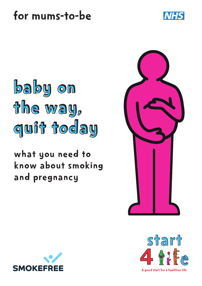





# what you need to know about smoking and pregnancy





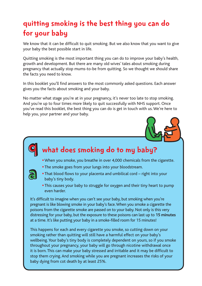## quitting smoking is the best thing you can do for your baby

We know that it can be difficult to quit smoking. But we also know that you want to give your baby the best possible start in life.

Quitting smoking is the most important thing you can do to improve your baby's health, growth and development. But there are many old wives' tales about smoking during pregnancy that actually stop mums-to-be from quitting. So we thought we should share the facts you need to know.

In this booklet you'll find answers to the most commonly asked questions. Each answer gives you the facts about smoking and your baby.

No matter what stage you're at in your pregnancy, it's never too late to stop smoking. And you're up to four times more likely to quit successfully with NHS support. Once you've read this booklet, the best thing you can do is get in touch with us. We're here to help you, your partner and your baby.



# what does smoking do to my baby?

- When you smoke, you breathe in over 4,000 chemicals from the cigarette.
- The smoke goes from your lungs into your bloodstream.

a

q

- That blood flows to your placenta and umbilical cord right into your baby's tiny body.
- This causes your baby to struggle for oxygen and their tiny heart to pump even harder.

It's difficult to imagine when you can't see your baby, but smoking when you're pregnant is like blowing smoke in your baby's face. When you smoke a cigarette the poisons from the cigarette smoke are passed on to your baby. Not only is this very distressing for your baby, but the exposure to these poisons can last up to **15 minutes** at a time. It's like putting your baby in a smoke-filled room for 15 minutes!

This happens for each and every cigarette you smoke, so cutting down on your smoking rather than quitting will still have a harmful effect on your baby's wellbeing. Your baby's tiny body is completely dependent on yours, so if you smoke throughout your pregnancy, your baby will go through nicotine withdrawal once it is born. This can make your baby stressed and irritable and it may be difficult to stop them crying. And smoking while you are pregnant increases the risks of your baby dying from cot death by at least 25%.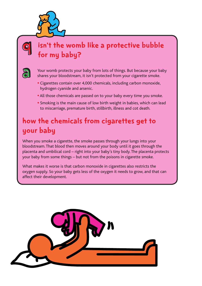

### isn't the womb like a protective bubble for my baby?



q

Your womb protects your baby from lots of things. But because your baby shares your bloodstream, it isn't protected from your cigarette smoke.

- Cigarettes contain over 4,000 chemicals, including carbon monoxide, hydrogen cyanide and arsenic.
- All those chemicals are passed on to your baby every time you smoke.
- Smoking is the main cause of low birth weight in babies, which can lead to miscarriage, premature birth, stillbirth, illness and cot death.

### how the chemicals from cigarettes get to your baby

When you smoke a cigarette, the smoke passes through your lungs into your bloodstream. That blood then moves around your body until it goes through the placenta and umbilical cord – right into your baby's tiny body. The placenta protects your baby from some things – but not from the poisons in cigarette smoke.

What makes it worse is that carbon monoxide in cigarettes also restricts the oxygen supply. So your baby gets less of the oxygen it needs to grow, and that can affect their development.

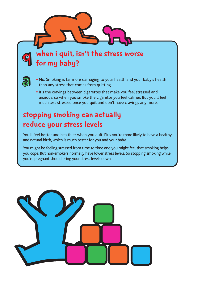when i quit, isn't the stress worse for my baby?



 $\overline{\mathbf{o}}$ 

- No. Smoking is far more damaging to your health and your baby's health than any stress that comes from quitting.
- It's the cravings between cigarettes that make you feel stressed and anxious, so when you smoke the cigarette you feel calmer. But you'll feel much less stressed once you quit and don't have cravings any more.

### stopping smoking can actually reduce your stress levels

You'll feel better and healthier when you quit. Plus you're more likely to have a healthy and natural birth, which is much better for you and your baby.

You might be feeling stressed from time to time and you might feel that smoking helps you cope. But non-smokers normally have lower stress levels. So stopping smoking while you're pregnant should bring your stress levels down.

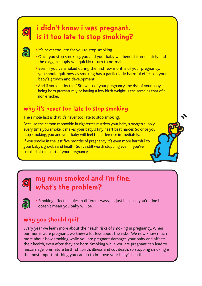

a

q

a

### i didn't know i was pregnant. is it too late to stop smoking?

- . It's never too late for you to stop smoking.
- Once you stop smoking, you and your baby will benefit immediately and the oxygen supply will quickly return to normal.
- Even if you've smoked during the first few months of your pregnancy, you should quit now as smoking has a particularly harmful effect on your baby's growth and development.
- And if you quit by the 15th week of your pregnancy, the risk of your baby being born prematurely or having a low birth weight is the same as that of a non-smoker.

#### why it's never too late to stop smoking

The simple fact is that it's never too late to stop smoking.

Because the carbon monoxide in cigarettes restricts your baby's oxygen supply, every time you smoke it makes your baby's tiny heart beat harder. So once you stop smoking, you and your baby will feel the difference immediately.

If you smoke in the last five months of pregnancy it's even more harmful to your baby's growth and health. So it's still worth stopping even if you've smoked at the start of your pregnancy.

### my mum smoked and i'm fine. what's the problem?

• Smoking affects babies in different ways, so just because you're fine it doesn't mean you baby will be.

#### why you should quit

Every year we learn more about the health risks of smoking in pregnancy. When our mums were pregnant, we knew a lot less about the risks. We now know much more about how smoking while you are pregnant damages your baby and affects their health, even after they are born. Smoking while you are pregnant can lead to miscarriage, premature birth, stillbirth, illness and cot death, so stopping smoking is the most important thing you can do to improve your baby's health.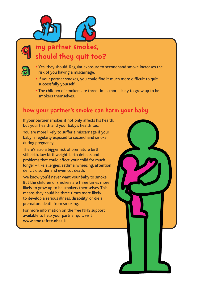



### my partner smokes, should they quit too?



- Yes, they should. Regular exposure to secondhand smoke increases the risk of you having a miscarriage.
- If your partner smokes, you could find it much more difficult to quit successfully yourself.
- The children of smokers are three times more likely to grow up to be smokers themselves.

#### how your partner's smoke can harm your baby

If your partner smokes it not only affects his health, but your health and your baby's health too.

You are more likely to suffer a miscarriage if your baby is regularly exposed to secondhand smoke during pregnancy.

There's also a bigger risk of premature birth, stillbirth, low birthweight, birth defects and problems that could affect your child for much longer – like allergies, asthma, wheezing, attention deficit disorder and even cot death.

We know you'd never want your baby to smoke. But the children of smokers are three times more likely to grow up to be smokers themselves. This means they could be three times more likely to develop a serious illness, disability, or die a premature death from smoking.

For more information on the free NHS support available to help your partner quit, visit **www.smokefree.nhs.uk**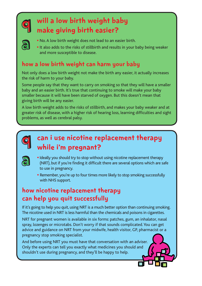

## will a low birth weight baby make giving birth easier?



- No. A low birth weight does not lead to an easier birth.
- It also adds to the risks of stillbirth and results in your baby being weaker and more susceptible to disease.

#### how a low birth weight can harm your baby

Not only does a low birth weight not make the birth any easier, it actually increases the risk of harm to your baby.

Some people say that they want to carry on smoking so that they will have a smaller baby and an easier birth. It's true that continuing to smoke will make your baby smaller because it will have been starved of oxygen. But this doesn't mean that giving birth will be any easier.

A low birth weight adds to the risks of stillbirth, and makes your baby weaker and at greater risk of disease, with a higher risk of hearing loss, learning difficulties and sight problems, as well as cerebral palsy.



### can i use nicotine replacement therapy while i'm pregnant?



- Ideally you should try to stop without using nicotine replacement therapy (NRT), but if you're finding it difficult there are several options which are safe to use in pregnancy.
- Remember, you're up to four times more likely to stop smoking successfully with NHS support.

### how nicotine replacement therapy can help you quit successfully

If it's going to help you quit, using NRT is a much better option than continuing smoking. The nicotine used in NRT is less harmful than the chemicals and poisons in cigarettes.

NRT for pregnant women is available in six forms: patches, gum, an inhalator, nasal spray, lozenges or microtabs. Don't worry if that sounds complicated. You can get advice and guidance on NRT from your midwife, health visitor, GP, pharmacist or a pregnancy stop smoking specialist.

And before using NRT you must have that conversation with an adviser. Only the experts can tell you exactly what medicines you should and shouldn't use during pregnancy, and they'll be happy to help.